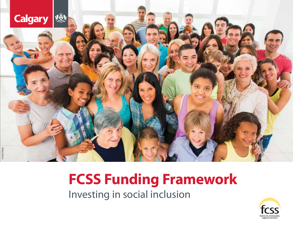

# **FCSS Funding Framework**

Investing in social inclusion

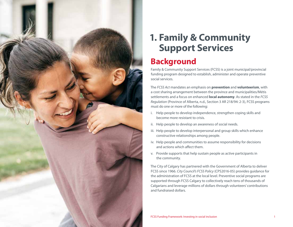

## **1. Family & Community Support Services**

## **Background**

Family & Community Support Services (FCSS) is a joint municipal/provincial funding program designed to establish, administer and operate preventive social services.

The *FCSS Act* mandates an emphasis on **prevention** and **volunteerism**, with a cost sharing arrangement between the province and municipalities/Métis settlements and a focus on enhanced **local autonomy**. As stated in the *FCSS Regulation* (Province of Alberta, n.d., Section 3 AR 218/94: 2-3), FCSS programs must do one or more of the following:

- i. Help people to develop independence, strengthen coping skills and become more resistant to crisis.
- ii. Help people to develop an awareness of social needs.
- iii. Help people to develop interpersonal and group skills which enhance constructive relationships among people.
- iv. Help people and communities to assume responsibility for decisions and actions which affect them.
- v. Provide supports that help sustain people as active participants in the community.

The City of Calgary has partnered with the Government of Alberta to deliver FCSS since 1966. *City Council's FCSS Policy* (CPS2016-05) provides guidance for the administration of FCSS at the local level. Preventive social programs are supported through FCSS Calgary to collectively reach tens of thousands of Calgarians and leverage millions of dollars through volunteers' contributions and fundraised dollars.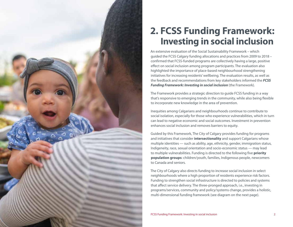

## **2. FCSS Funding Framework: Investing in social inclusion**

An extensive evaluation of the Social Sustainability Framework – which guided the FCSS Calgary funding allocations and practices from 2009 to 2018 – confirmed that FCSS-funded programs are collectively having a large, positive effect on social inclusion among program participants. The evaluation also highlighted the importance of place-based neighbourhood strengthening initiatives for increasing residents' wellbeing. The evaluation results, as well as the feedback and recommendations from key stakeholders informed the *FCSS Funding Framework: Investing in social inclusion* (the Framework).

The Framework provides a strategic direction to guide FCSS funding in a way that's responsive to emerging trends in the community, while also being flexible to incorporate new knowledge in the area of prevention.

Inequities among Calgarians and neighbourhoods continue to contribute to social isolation, especially for those who experience vulnerabilities, which in turn can lead to negative economic and social outcomes. Investment in prevention enhances social inclusion and removes barriers to equity.

Guided by this Framework, The City of Calgary provides funding for programs and initiatives that consider **intersectionality** and support Calgarians whose multiple identities — such as ability, age, ethnicity, gender, immigration status, Indigeneity, race, sexual orientation and socio-economic status — may lead to multiple vulnerabilities. Funding is directed to the following five **priority population groups**: children/youth, families, Indigenous people, newcomers to Canada and seniors.

The City of Calgary also directs funding to increase social inclusion in select neighbourhoods where a high proportion of residents experience risk factors. Funding to strengthen social infrastructure is directed to policies and systems that affect service delivery. The three-pronged approach, i.e., investing in programs/services, community and policy/systems change, provides a holistic, multi-dimensional funding framework (see diagram on the next page).

FCSS Funding Framework: Investing in social inclusion 2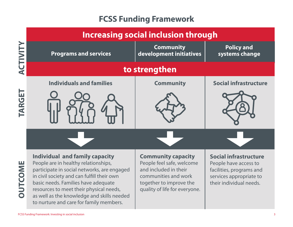## **FCSS Funding Framework**

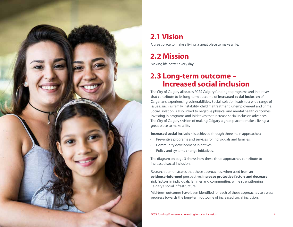

## **2.1 Vision**

A great place to make a living, a great place to make a life.

## **2.2 Mission**

Making life better every day.

### **2.3 Long-term outcome – Increased social inclusion**

The City of Calgary allocates FCSS Calgary funding to programs and initiatives that contribute to its long-term outcome of **increased social inclusion** of Calgarians experiencing vulnerabilities. Social isolation leads to a wide range of issues, such as family instability, child maltreatment, unemployment and crime. Social isolation is also linked to negative physical and mental health outcomes. Investing in programs and initiatives that increase social inclusion advances The City of Calgary's vision of making Calgary a great place to make a living, a great place to make a life.

**Increased social inclusion** is achieved through three main approaches:

- Preventive programs and services for individuals and families.
- Community development initiatives.
- Policy and systems change initiatives.

The diagram on page 3 shows how these three approaches contribute to increased social inclusion.

Research demonstrates that these approaches, when used from an **evidence-informed** perspective, **increase protective factors and decrease risk factors** in individuals, families and communities, while strengthening Calgary's social infrastructure.

Mid-term outcomes have been identified for each of these approaches to assess progress towards the long-term outcome of increased social inclusion.

FCSS Funding Framework: Investing in social inclusion 4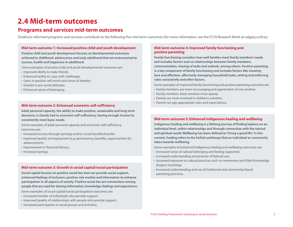### **2.4 Mid-term outcomes**

#### **Programs and services mid-term outcomes**

Evidence-informed programs and services contribute to the following five mid-term outcomes (for more information, see the FCSS Research Briefs at calgary.ca/fcss).

#### **Mid-term outcome 1: Increased positive child and youth development**

**Positive child and youth development focuses on developmental outcomes achieved in childhood, adolescence and early adulthood that are instrumental to success, health and happiness in adulthood.**

Some examples of positive child and youth developmental outcomes are:

- Improved ability to make friends.
- Enhanced ability to cope with challenges.
- Gains in positive self-worth and sense of identity.
- Growth in pro-social attitudes.
- Enhanced sense of belonging.

#### **Mid-term outcome 2: Enhanced economic self-sufficiency**

**Adult personal capacity, the ability to make positive, sustainable and long-term decisions, is closely tied to economic self-sufficiency, having enough income to consistently meet basic needs.**

Some examples of adult personal capacity and economic self-sufficiency outcomes are:

- Increased income through earnings and/or social benefits/transfer.
- Improved quality of employment (e.g. permanency, benefits, opportunities for advancement).
- Improvement in financial literacy.
- Increased savings.

#### **Mid-term outcome 3: Growth in social capital/social participation**

**Social capital focuses on positive social ties that can provide social support, enhanced feelings of inclusion, positive role models and information to enhance participation in all aspects of society. Positive social ties are connections among people that are used for sharing information, knowledge, feelings and experiences.** 

Some examples of social capital/social participation outcomes are:

- Increased number of individuals who provide support.
- Improved quality of relationships with people who provide support.
- Increased participation in social groups and activities.

#### **Mid-term outcome 4: Improved family functioning and positive parenting**

**Family functioning considers how well families meet family members' needs and includes factors such as relationships between family members, communication, sharing of tasks and outlook, among others. Positive parenting is a key component of family functioning and includes factors like showing love and affection, effectively managing household tasks, setting and enforcing rules consistently and other factors.**

Some examples of improved family functioning and positive parenting outcomes are:

- Family members are more encouraging and appreciative of one another.
- Family members share emotion more openly.
- Parents are more involved in children's activities.
- Parents set age-appropriate rules and expectations.

#### **Mid-term outcome 5: Enhanced Indigenous healing and wellbeing**

**Indigenous healing and wellbeing is a lifelong journey of finding balance on an individual level, within relationships and through connection with the natural and spiritual world. Wellbeing has been defined as "living a good life." In this context, healing refers to the holistic pathways that an individual or community takes towards wellbeing.**

Some examples of enhanced Indigenous healing and wellbeing outcomes are:

- Increased sense of cultural belonging and feeling supported.
- Increased understanding and practice of Natural Law.
- Increased exposure to cultural practices such as ceremonies and Elder/Knowledge Keepers teachings.
- Increased understanding and use of traditional and community-based parenting practices.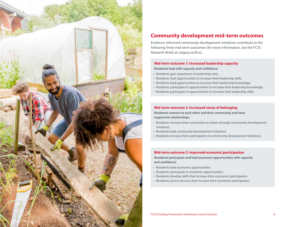

#### **Community development mid-term outcomes**

Evidence-informed community development initiatives contribute to the following three mid-term outcomes (for more information, see the FCSS Research Briefs at calgary.ca/fcss).

#### **Mid-term outcome 1: Increased leadership capacity**

**Residents lead with capacity and confidence.**

- Residents gain experience in leadership roles.
- Residents lead opportunities to increase their leadership skills.
- Residents lead opportunities to increase their leadership knowledge.
- Residents participate in opportunities to increase their leadership knowledge.
- Residents participate in opportunities to increase their leadership skills.

#### **Mid-term outcome 2: Increased sense of belonging**

**Residents connect to each other and their community and have supportive relationships.**

- Residents increase their connection to others through community development initiatives.
- Residents lead community development initiatives.
- Residents increase their participation in community development initiatives.

#### **Mid-term outcome 3: Improved economic participation**

**Residents participate and lead economic opportunities with capacity and confidence.**

- Residents lead economic opportunities.
- Residents participate in economic opportunities.
- Residents develop skills that increase their economic participation.
- Residents access services that increase their economic participation.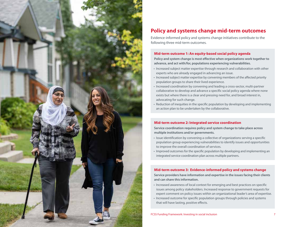

### **Policy and systems change mid-term outcomes**

Evidence-informed policy and systems change initiatives contribute to the following three mid-term outcomes.

#### **Mid-term outcome 1: An equity-based social policy agenda**

**Policy and system change is most effective when organizations work together to advance, and act with/for, populations experiencing vulnerabilities.**

- Increased subject matter expertise through research and collaboration with other experts who are already engaged in advancing an issue.
- Increased subject matter expertise by convening members of the affected priority population groups to share their lived experience.
- Increased coordination by convening and leading a cross-sector, multi-partner collaborative to develop and advance a specific social policy agenda where none exists but where there is a clear and pressing need for, and broad interest in, advocating for such change.
- Reduction of inequities in the specific population by developing and implementing an action plan to be undertaken by the collaborative.

#### **Mid-term outcome 2: Integrated service coordination**

**Service coordination requires policy and system change to take place across multiple institutions and/or governments.**

- Issue identification by convening a collective of organizations serving a specific population group experiencing vulnerabilities to identify issues and opportunities to improve the overall coordination of services.
- Improved outcomes for the specific population by developing and implementing an integrated service coordination plan across multiple partners.

#### **Mid-term outcome 3: Evidence-informed policy and systems change**

**Service providers have information and expertise in the issues facing their clients and can share this information.**

- Increased awareness of local context for emerging and best practices on specific issues among policy stakeholders. Increased response to government requests for expert comment on policy issues within an organizational leader's area of expertise.
- Increased outcome for specific population groups through policies and systems that will have lasting, positive effects.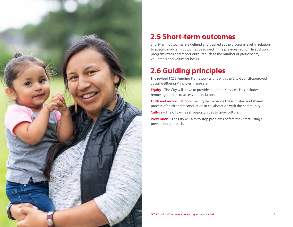

### **2.5 Short-term outcomes**

Short-term outcomes are defined and tracked at the program level, in relation to specific mid-term outcomes described in the previous section. In addition, programs track and report outputs such as the number of participants, volunteers and volunteer hours.

## **2.6 Guiding principles**

The revised FCSS Funding Framework aligns with the City Council-approved Social Wellbeing Principles. These are:

**Equity** – The City will strive to provide equitable services. This includes removing barriers to access and inclusion.

**Truth and reconciliation** – The City will advance the activated and shared process of truth and reconciliation in collaboration with the community.

**Culture** – The City will seek opportunities to grow culture.

**Prevention** – The City will aim to stop problems before they start, using a prevention approach.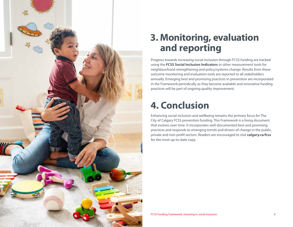

## **3. Monitoring, evaluation and reporting**

Progress towards increasing social inclusion through FCSS funding are tracked using the **FCSS Social Inclusion Indicators** or other measurement tools for neighbourhood strengthening and policy/systems change. Results from these outcome monitoring and evaluation tools are reported to all stakeholders annually. Emerging best and promising practices in prevention are incorporated in the Framework periodically as they become available and innovative funding practices will be part of ongoing quality improvement.

## **4. Conclusion**

Enhancing social inclusion and wellbeing remains the primary focus for The City of Calgary FCSS prevention funding. This Framework is a living document that evolves over time. It incorporates well-documented best and promising practices and responds to emerging trends and drivers of change in the public, private and non-profit sectors. Readers are encouraged to visit **calgary.ca/fcss** for the most up-to-date copy.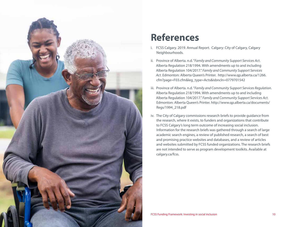

## **References**

- i. FCSS Calgary. 2019. Annual Report. Calgary: City of Calgary, Calgary Neighbourhoods.
- ii. Province of Alberta. n.d. "*Family and Community Support Services Act*. Alberta Regulation 218/1994. With amendments up to and including Alberta Regulation 104/2017." *Family and Community Support Services Act*. Edmonton: Alberta Queen's Printer. http://www.qp.alberta.ca/1266. cfm?page=F03.cfm&leg\_type=Acts&isbncln=0779701542
- iii. Province of Alberta. n.d. "*Family and Community Support Services Regulation*. Alberta Regulation 218/1994. With amendments up to and including Alberta Regulation 104/2017." *Family and Community Support Services Act*. Edmonton: Alberta Queen's Printer. http://www.qp.alberta.ca/documents/ Regs/1994\_218.pdf
- iv. The City of Calgary commissions research briefs to provide guidance from the research, where it exists, to funders and organizations that contribute to FCSS Calgary's long term outcome of increasing social inclusion. Information for the research briefs was gathered through a search of large academic search engines, a review of published research, a search of best and promising practice websites and databases, and a review of articles and websites submitted by FCSS funded organizations. The research briefs are not intended to serve as program development toolkits. Available at calgary.ca/fcss.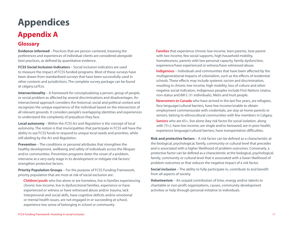## **Appendices Appendix A**

#### **Glossary**

**Evidence-informed** – Practices that are person-centered, meaning the preferences and experiences of individual clients are considered alongside best practices, as defined by quantitative evidence.

**FCSS Social Inclusion Indicators** – Social inclusion indicators are used to measure the impact of FCSS funded-programs. Most of these surveys have been drawn from standardized surveys that have been successfully used in other contexts and jurisdictions. The complete survey package can be found at calgary.ca/fcss.

**Intersectionality** – A framework for conceptualizing a person, group of people, or social problem as affected by several discriminations and disadvantages. An intersectional approach considers the historical, social and political context and recognizes the unique experience of the individual based on the intersection of all relevant grounds. It considers people's overlapping identities and experiences to understand the complexity of prejudices they face.

**Local autonomy** – Within the *FCSS Act* and *Regulation* is the concept of local autonomy. The notion is that municipalities that participate in FCSS will have the ability to use FCSS funds to respond to unique local needs and priorities, while still abiding by the *Act* and *Regulation*.

**Prevention** – The conditions or personal attributes that strengthen the healthy development, wellbeing and safety of individuals across the lifespan and/or communities. Prevention programs deter the onset of a problem, intervene at a very early stage in its development or mitigate risk factors/ strengthen protective factors.

**Priority Population Groups** – For the purpose of FCSS Funding Framework, priority population that are most at risk of social exclusion are:

 **Children/youth** who live alone or are homeless, live in families experiencing chronic low-income, live in dysfunctional families, experience or have experienced or witness or have witnessed abuse and/or trauma, lack interpersonal and social skills, have cognitive deficits and/or emotional or mental health issues, are not engaged in or succeeding at school, experience low sense of belonging in school or community.

**Families** that experience chronic low-income, teen parents, lone parent with low income, few social supports, high household mobility, homelessness, parents with low personal capacity, family dysfunction, experience/have experienced or witness/have witnessed abuse.

 **Indigenous** – Individuals and communities that have been affected by the multigenerational impacts of colonialism, such as the effects of residential schools. These effects may include systemic racism and discrimination, resulting in chronic low income, high mobility, loss of culture and other negative social indicators. Indigenous peoples include First Nations (status, non-status and Bill C-31 individuals), Métis and Inuit people.

 **Newcomers to Canada** who have arrived in the last five years, are refugees, face language/cultural barriers, have low income/unable to obtain employment commensurate with credentials, are stay-at-home parents or seniors, belong to ethnocultural communities with few members in Calgary.

**Seniors** who are 65+, live alone (key risk factor for social isolation, along with 75+), have low income, are single and/or bereaved, are in poor health, experience language/cultural barriers, have transportation difficulties.

**Risk and protective factors** – A risk factor can be defined as a characteristic at the biological, psychological, family, community or cultural level that precedes and is associated with a higher likelihood of problem outcomes. Conversely, a protective factor can be defined as a characteristic at the biological, psychological, family, community or cultural level that is associated with a lower likelihood of problem outcomes or that reduces the negative impact of a risk factor.

**Social inclusion** – The ability to fully participate in, contribute to and benefit from all aspects of society.

**Volunteerism** – An unpaid contribution of time, energy and/or talents to charitable or non-profit organizations, causes, community development activities or help through personal initiative to individuals.